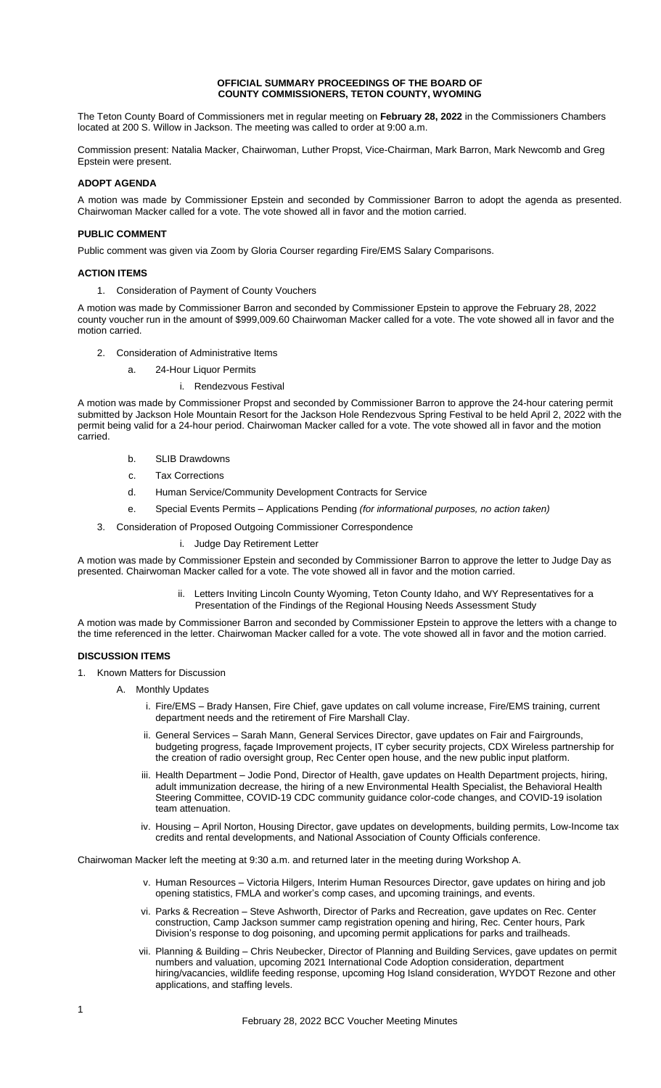#### **OFFICIAL SUMMARY PROCEEDINGS OF THE BOARD OF COUNTY COMMISSIONERS, TETON COUNTY, WYOMING**

The Teton County Board of Commissioners met in regular meeting on **February 28, 2022** in the Commissioners Chambers located at 200 S. Willow in Jackson. The meeting was called to order at 9:00 a.m.

Commission present: Natalia Macker, Chairwoman, Luther Propst, Vice-Chairman, Mark Barron, Mark Newcomb and Greg Epstein were present.

# **ADOPT AGENDA**

A motion was made by Commissioner Epstein and seconded by Commissioner Barron to adopt the agenda as presented. Chairwoman Macker called for a vote. The vote showed all in favor and the motion carried.

## **PUBLIC COMMENT**

Public comment was given via Zoom by Gloria Courser regarding Fire/EMS Salary Comparisons.

### **ACTION ITEMS**

1. Consideration of Payment of County Vouchers

A motion was made by Commissioner Barron and seconded by Commissioner Epstein to approve the February 28, 2022 county voucher run in the amount of \$999,009.60 Chairwoman Macker called for a vote. The vote showed all in favor and the motion carried.

- 2. Consideration of Administrative Items
	- a. 24-Hour Liquor Permits
		- i. Rendezvous Festival

A motion was made by Commissioner Propst and seconded by Commissioner Barron to approve the 24-hour catering permit submitted by Jackson Hole Mountain Resort for the Jackson Hole Rendezvous Spring Festival to be held April 2, 2022 with the permit being valid for a 24-hour period. Chairwoman Macker called for a vote. The vote showed all in favor and the motion carried.

- b. SLIB Drawdowns
- c. Tax Corrections
- d. Human Service/Community Development Contracts for Service
- e. Special Events Permits Applications Pending *(for informational purposes, no action taken)*
- 3. Consideration of Proposed Outgoing Commissioner Correspondence
	- i. Judge Day Retirement Letter

A motion was made by Commissioner Epstein and seconded by Commissioner Barron to approve the letter to Judge Day as presented. Chairwoman Macker called for a vote. The vote showed all in favor and the motion carried.

> ii. Letters Inviting Lincoln County Wyoming, Teton County Idaho, and WY Representatives for a Presentation of the Findings of the Regional Housing Needs Assessment Study

A motion was made by Commissioner Barron and seconded by Commissioner Epstein to approve the letters with a change to the time referenced in the letter. Chairwoman Macker called for a vote. The vote showed all in favor and the motion carried.

## **DISCUSSION ITEMS**

- 1. Known Matters for Discussion
	- A. Monthly Updates
		- i. Fire/EMS Brady Hansen, Fire Chief, gave updates on call volume increase, Fire/EMS training, current department needs and the retirement of Fire Marshall Clay.
		- ii. General Services Sarah Mann, General Services Director, gave updates on Fair and Fairgrounds, budgeting progress, façade Improvement projects, IT cyber security projects, CDX Wireless partnership for the creation of radio oversight group, Rec Center open house, and the new public input platform.
		- iii. Health Department Jodie Pond, Director of Health, gave updates on Health Department projects, hiring, adult immunization decrease, the hiring of a new Environmental Health Specialist, the Behavioral Health Steering Committee, COVID-19 CDC community guidance color-code changes, and COVID-19 isolation team attenuation.
		- iv. Housing April Norton, Housing Director, gave updates on developments, building permits, Low-Income tax credits and rental developments, and National Association of County Officials conference.

Chairwoman Macker left the meeting at 9:30 a.m. and returned later in the meeting during Workshop A.

- v. Human Resources Victoria Hilgers, Interim Human Resources Director, gave updates on hiring and job opening statistics, FMLA and worker's comp cases, and upcoming trainings, and events.
- vi. Parks & Recreation Steve Ashworth, Director of Parks and Recreation, gave updates on Rec. Center construction, Camp Jackson summer camp registration opening and hiring, Rec. Center hours, Park Division's response to dog poisoning, and upcoming permit applications for parks and trailheads.
- vii. Planning & Building Chris Neubecker, Director of Planning and Building Services, gave updates on permit numbers and valuation, upcoming 2021 International Code Adoption consideration, department hiring/vacancies, wildlife feeding response, upcoming Hog Island consideration, WYDOT Rezone and other applications, and staffing levels.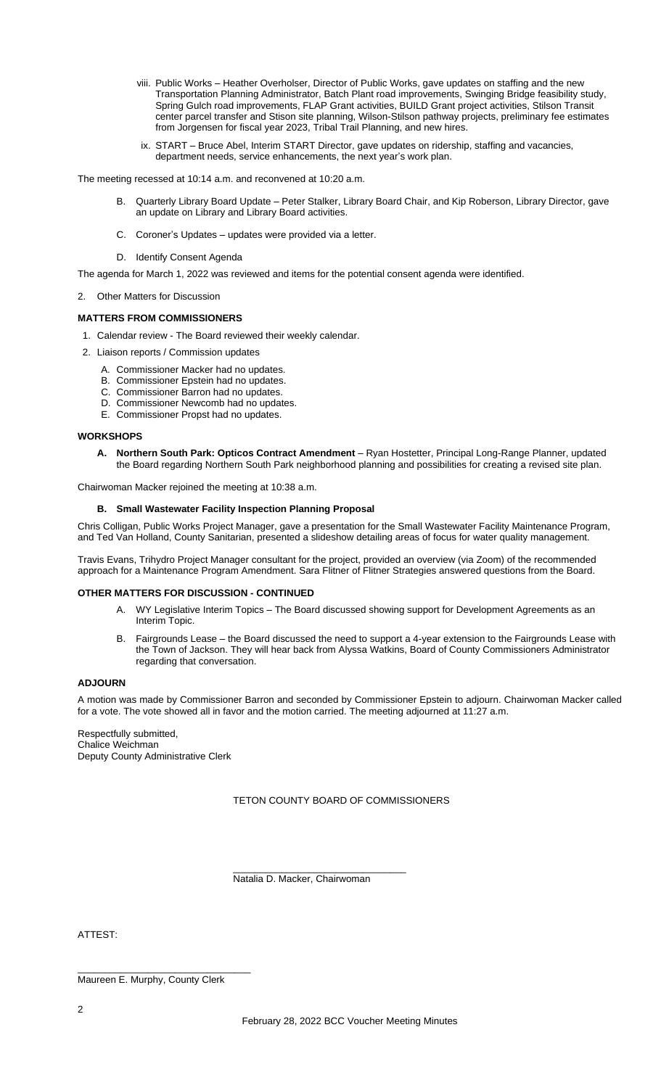- viii. Public Works Heather Overholser, Director of Public Works, gave updates on staffing and the new Transportation Planning Administrator, Batch Plant road improvements, Swinging Bridge feasibility study, Spring Gulch road improvements, FLAP Grant activities, BUILD Grant project activities, Stilson Transit center parcel transfer and Stison site planning, Wilson-Stilson pathway projects, preliminary fee estimates from Jorgensen for fiscal year 2023, Tribal Trail Planning, and new hires.
- ix. START Bruce Abel, Interim START Director, gave updates on ridership, staffing and vacancies, department needs, service enhancements, the next year's work plan.

The meeting recessed at 10:14 a.m. and reconvened at 10:20 a.m.

- B. Quarterly Library Board Update Peter Stalker, Library Board Chair, and Kip Roberson, Library Director, gave an update on Library and Library Board activities.
- C. Coroner's Updates updates were provided via a letter.
- D. Identify Consent Agenda

The agenda for March 1, 2022 was reviewed and items for the potential consent agenda were identified.

2. Other Matters for Discussion

### **MATTERS FROM COMMISSIONERS**

1. Calendar review - The Board reviewed their weekly calendar.

- 2. Liaison reports / Commission updates
	- A. Commissioner Macker had no updates.
	- B. Commissioner Epstein had no updates.
	- C. Commissioner Barron had no updates.
	- D. Commissioner Newcomb had no updates.
	- E. Commissioner Propst had no updates.

## **WORKSHOPS**

**A. Northern South Park: Opticos Contract Amendment** – Ryan Hostetter, Principal Long-Range Planner, updated the Board regarding Northern South Park neighborhood planning and possibilities for creating a revised site plan.

Chairwoman Macker rejoined the meeting at 10:38 a.m.

#### **B. Small Wastewater Facility Inspection Planning Proposal**

Chris Colligan, Public Works Project Manager, gave a presentation for the Small Wastewater Facility Maintenance Program, and Ted Van Holland, County Sanitarian, presented a slideshow detailing areas of focus for water quality management.

Travis Evans, Trihydro Project Manager consultant for the project, provided an overview (via Zoom) of the recommended approach for a Maintenance Program Amendment. Sara Flitner of Flitner Strategies answered questions from the Board.

#### **OTHER MATTERS FOR DISCUSSION - CONTINUED**

- A. WY Legislative Interim Topics The Board discussed showing support for Development Agreements as an Interim Topic.
- B. Fairgrounds Lease the Board discussed the need to support a 4-year extension to the Fairgrounds Lease with the Town of Jackson. They will hear back from Alyssa Watkins, Board of County Commissioners Administrator regarding that conversation.

# **ADJOURN**

A motion was made by Commissioner Barron and seconded by Commissioner Epstein to adjourn. Chairwoman Macker called for a vote. The vote showed all in favor and the motion carried. The meeting adjourned at 11:27 a.m.

Respectfully submitted, Chalice Weichman Deputy County Administrative Clerk

TETON COUNTY BOARD OF COMMISSIONERS

Natalia D. Macker, Chairwoman

\_\_\_\_\_\_\_\_\_\_\_\_\_\_\_\_\_\_\_\_\_\_\_\_\_\_\_\_\_\_\_\_

ATTEST:

\_\_\_\_\_\_\_\_\_\_\_\_\_\_\_\_\_\_\_\_\_\_\_\_\_\_\_\_\_\_\_\_ Maureen E. Murphy, County Clerk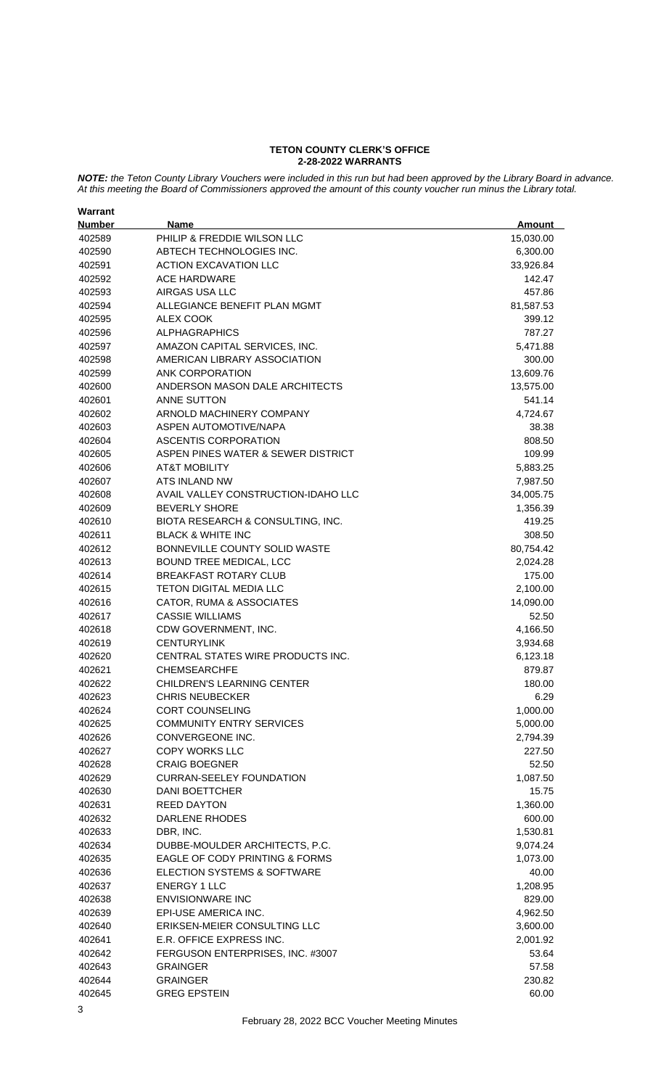#### **TETON COUNTY CLERK'S OFFICE 2-28-2022 WARRANTS**

*NOTE: the Teton County Library Vouchers were included in this run but had been approved by the Library Board in advance. At this meeting the Board of Commissioners approved the amount of this county voucher run minus the Library total.*

| Warrant       |                                           |               |
|---------------|-------------------------------------------|---------------|
| <b>Number</b> | <b>Name</b>                               | <b>Amount</b> |
| 402589        | PHILIP & FREDDIE WILSON LLC               | 15,030.00     |
| 402590        | ABTECH TECHNOLOGIES INC.                  | 6,300.00      |
| 402591        | <b>ACTION EXCAVATION LLC</b>              | 33,926.84     |
| 402592        | <b>ACE HARDWARE</b>                       | 142.47        |
| 402593        | AIRGAS USA LLC                            | 457.86        |
| 402594        | ALLEGIANCE BENEFIT PLAN MGMT              | 81,587.53     |
| 402595        | <b>ALEX COOK</b>                          | 399.12        |
| 402596        | <b>ALPHAGRAPHICS</b>                      | 787.27        |
| 402597        | AMAZON CAPITAL SERVICES, INC.             | 5,471.88      |
| 402598        | AMERICAN LIBRARY ASSOCIATION              | 300.00        |
| 402599        | <b>ANK CORPORATION</b>                    | 13,609.76     |
| 402600        | ANDERSON MASON DALE ARCHITECTS            | 13,575.00     |
| 402601        | ANNE SUTTON                               | 541.14        |
| 402602        | ARNOLD MACHINERY COMPANY                  | 4,724.67      |
|               | ASPEN AUTOMOTIVE/NAPA                     |               |
| 402603        |                                           | 38.38         |
| 402604        | ASCENTIS CORPORATION                      | 808.50        |
| 402605        | ASPEN PINES WATER & SEWER DISTRICT        | 109.99        |
| 402606        | <b>AT&amp;T MOBILITY</b>                  | 5,883.25      |
| 402607        | ATS INLAND NW                             | 7,987.50      |
| 402608        | AVAIL VALLEY CONSTRUCTION-IDAHO LLC       | 34,005.75     |
| 402609        | <b>BEVERLY SHORE</b>                      | 1,356.39      |
| 402610        | BIOTA RESEARCH & CONSULTING, INC.         | 419.25        |
| 402611        | <b>BLACK &amp; WHITE INC</b>              | 308.50        |
| 402612        | BONNEVILLE COUNTY SOLID WASTE             | 80,754.42     |
| 402613        | BOUND TREE MEDICAL, LCC                   | 2,024.28      |
| 402614        | <b>BREAKFAST ROTARY CLUB</b>              | 175.00        |
| 402615        | <b>TETON DIGITAL MEDIA LLC</b>            | 2,100.00      |
| 402616        | CATOR, RUMA & ASSOCIATES                  | 14,090.00     |
| 402617        | <b>CASSIE WILLIAMS</b>                    | 52.50         |
| 402618        | CDW GOVERNMENT, INC.                      | 4,166.50      |
| 402619        | <b>CENTURYLINK</b>                        | 3,934.68      |
| 402620        | CENTRAL STATES WIRE PRODUCTS INC.         | 6,123.18      |
| 402621        | <b>CHEMSEARCHFE</b>                       | 879.87        |
| 402622        | <b>CHILDREN'S LEARNING CENTER</b>         | 180.00        |
| 402623        | <b>CHRIS NEUBECKER</b>                    | 6.29          |
| 402624        | <b>CORT COUNSELING</b>                    | 1,000.00      |
| 402625        | <b>COMMUNITY ENTRY SERVICES</b>           | 5,000.00      |
| 402626        | CONVERGEONE INC.                          | 2,794.39      |
| 402627        | <b>COPY WORKS LLC</b>                     | 227.50        |
| 402628        | <b>CRAIG BOEGNER</b>                      | 52.50         |
| 402629        | CURRAN-SEELEY FOUNDATION                  | 1,087.50      |
| 402630        | <b>DANI BOETTCHER</b>                     | 15.75         |
| 402631        | <b>REED DAYTON</b>                        | 1,360.00      |
| 402632        | DARLENE RHODES                            | 600.00        |
| 402633        | DBR, INC.                                 | 1,530.81      |
| 402634        | DUBBE-MOULDER ARCHITECTS, P.C.            | 9,074.24      |
| 402635        | <b>EAGLE OF CODY PRINTING &amp; FORMS</b> | 1,073.00      |
| 402636        | ELECTION SYSTEMS & SOFTWARE               | 40.00         |
| 402637        | <b>ENERGY 1 LLC</b>                       | 1,208.95      |
| 402638        | <b>ENVISIONWARE INC</b>                   | 829.00        |
| 402639        | EPI-USE AMERICA INC.                      | 4,962.50      |
| 402640        | ERIKSEN-MEIER CONSULTING LLC              | 3,600.00      |
|               | E.R. OFFICE EXPRESS INC.                  |               |
| 402641        |                                           | 2,001.92      |
| 402642        | FERGUSON ENTERPRISES, INC. #3007          | 53.64         |
| 402643        | <b>GRAINGER</b>                           | 57.58         |
| 402644        | <b>GRAINGER</b>                           | 230.82        |
| 402645        | <b>GREG EPSTEIN</b>                       | 60.00         |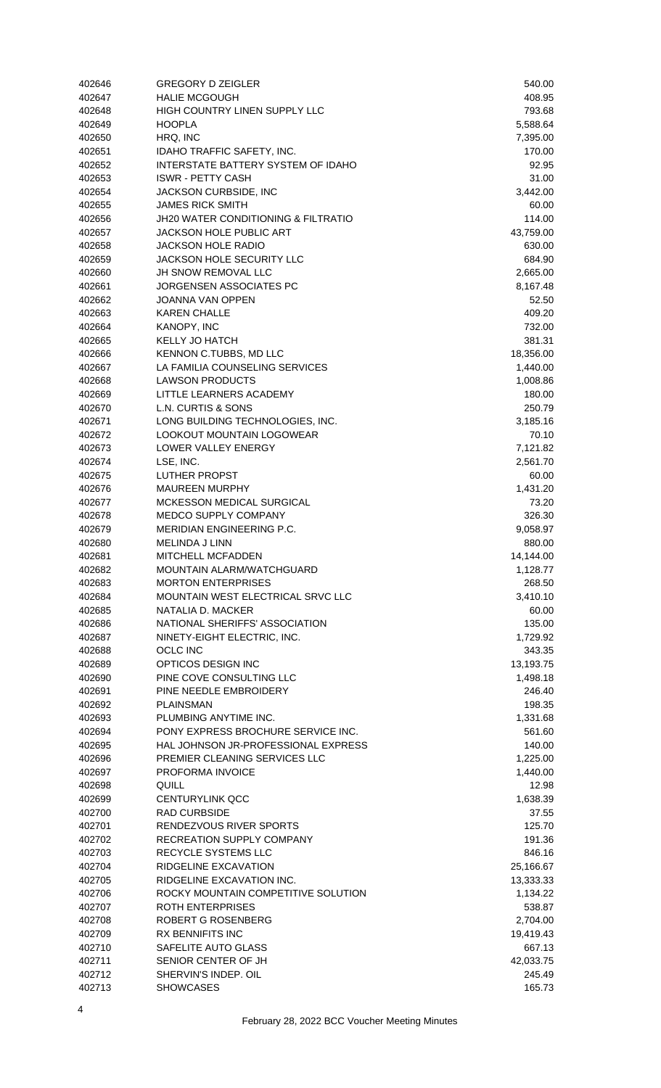| 402646           | <b>GREGORY D ZEIGLER</b>                                  | 540.00              |
|------------------|-----------------------------------------------------------|---------------------|
| 402647           | <b>HALIE MCGOUGH</b>                                      | 408.95              |
| 402648           | HIGH COUNTRY LINEN SUPPLY LLC                             | 793.68              |
| 402649           | <b>HOOPLA</b>                                             | 5,588.64            |
| 402650           | HRQ, INC                                                  | 7,395.00            |
| 402651           | IDAHO TRAFFIC SAFETY, INC.                                | 170.00              |
| 402652           | INTERSTATE BATTERY SYSTEM OF IDAHO                        | 92.95               |
| 402653<br>402654 | <b>ISWR - PETTY CASH</b>                                  | 31.00               |
| 402655           | JACKSON CURBSIDE, INC<br><b>JAMES RICK SMITH</b>          | 3,442.00<br>60.00   |
| 402656           | <b>JH20 WATER CONDITIONING &amp; FILTRATIO</b>            | 114.00              |
| 402657           | <b>JACKSON HOLE PUBLIC ART</b>                            | 43,759.00           |
| 402658           | <b>JACKSON HOLE RADIO</b>                                 | 630.00              |
| 402659           | JACKSON HOLE SECURITY LLC                                 | 684.90              |
| 402660           | JH SNOW REMOVAL LLC                                       | 2,665.00            |
| 402661           | JORGENSEN ASSOCIATES PC                                   | 8,167.48            |
| 402662           | JOANNA VAN OPPEN                                          | 52.50               |
| 402663           | <b>KAREN CHALLE</b>                                       | 409.20              |
| 402664           | KANOPY, INC                                               | 732.00              |
| 402665           | <b>KELLY JO HATCH</b>                                     | 381.31              |
| 402666           | KENNON C.TUBBS, MD LLC                                    | 18,356.00           |
| 402667           | LA FAMILIA COUNSELING SERVICES                            | 1,440.00            |
| 402668           | <b>LAWSON PRODUCTS</b>                                    | 1,008.86            |
| 402669           | LITTLE LEARNERS ACADEMY                                   | 180.00              |
| 402670           | L.N. CURTIS & SONS                                        | 250.79              |
| 402671           | LONG BUILDING TECHNOLOGIES, INC.                          | 3,185.16            |
| 402672           | LOOKOUT MOUNTAIN LOGOWEAR                                 | 70.10               |
| 402673           | LOWER VALLEY ENERGY                                       | 7,121.82            |
| 402674           | LSE, INC.                                                 | 2,561.70            |
| 402675           | LUTHER PROPST                                             | 60.00               |
| 402676           | <b>MAUREEN MURPHY</b>                                     | 1,431.20            |
| 402677           | <b>MCKESSON MEDICAL SURGICAL</b>                          | 73.20               |
| 402678           | MEDCO SUPPLY COMPANY                                      | 326.30              |
| 402679           | <b>MERIDIAN ENGINEERING P.C.</b><br><b>MELINDA J LINN</b> | 9,058.97            |
| 402680<br>402681 | <b>MITCHELL MCFADDEN</b>                                  | 880.00<br>14,144.00 |
| 402682           | MOUNTAIN ALARM/WATCHGUARD                                 | 1,128.77            |
| 402683           | <b>MORTON ENTERPRISES</b>                                 | 268.50              |
| 402684           | MOUNTAIN WEST ELECTRICAL SRVC LLC                         | 3,410.10            |
| 402685           | NATALIA D. MACKER                                         | 60.00               |
| 402686           | NATIONAL SHERIFFS' ASSOCIATION                            | 135.00              |
| 402687           | NINETY-EIGHT ELECTRIC, INC.                               | 1,729.92            |
| 402688           | <b>OCLC INC</b>                                           | 343.35              |
| 402689           | OPTICOS DESIGN INC                                        | 13,193.75           |
| 402690           | PINE COVE CONSULTING LLC                                  | 1,498.18            |
| 402691           | PINE NEEDLE EMBROIDERY                                    | 246.40              |
| 402692           | <b>PLAINSMAN</b>                                          | 198.35              |
| 402693           | PLUMBING ANYTIME INC.                                     | 1,331.68            |
| 402694           | PONY EXPRESS BROCHURE SERVICE INC.                        | 561.60              |
| 402695           | HAL JOHNSON JR-PROFESSIONAL EXPRESS                       | 140.00              |
| 402696           | PREMIER CLEANING SERVICES LLC                             | 1,225.00            |
| 402697           | PROFORMA INVOICE                                          | 1,440.00            |
| 402698           | QUILL                                                     | 12.98               |
| 402699           | <b>CENTURYLINK QCC</b>                                    | 1,638.39            |
| 402700           | <b>RAD CURBSIDE</b>                                       | 37.55               |
| 402701           | RENDEZVOUS RIVER SPORTS                                   | 125.70              |
| 402702<br>402703 | RECREATION SUPPLY COMPANY<br>RECYCLE SYSTEMS LLC          | 191.36<br>846.16    |
| 402704           | RIDGELINE EXCAVATION                                      | 25,166.67           |
| 402705           | RIDGELINE EXCAVATION INC.                                 | 13,333.33           |
| 402706           | ROCKY MOUNTAIN COMPETITIVE SOLUTION                       | 1,134.22            |
| 402707           | <b>ROTH ENTERPRISES</b>                                   | 538.87              |
| 402708           | ROBERT G ROSENBERG                                        | 2,704.00            |
| 402709           | <b>RX BENNIFITS INC</b>                                   | 19,419.43           |
|                  |                                                           |                     |
| 402710           | SAFELITE AUTO GLASS                                       | 667.13              |
| 402711           | SENIOR CENTER OF JH                                       | 42,033.75           |
| 402712           | SHERVIN'S INDEP. OIL                                      | 245.49              |